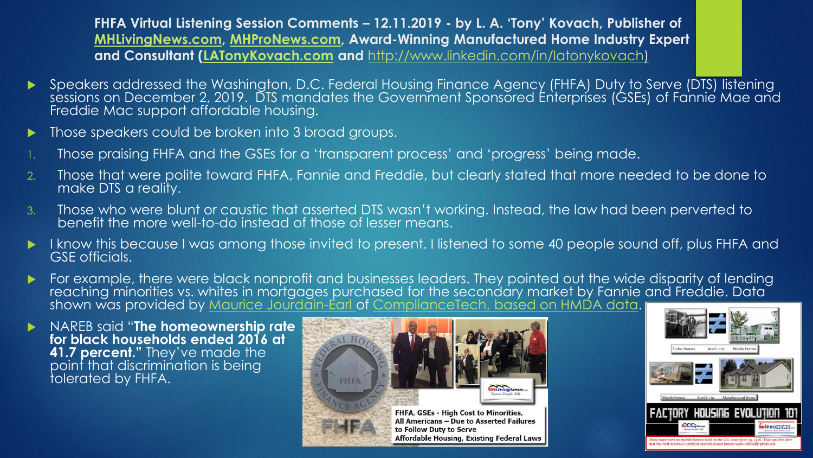**FHFA Virtual Listening Session Comments – 12.11.2019 - by L. A. 'Tony' Kovach, Publisher of [MHLivingNews.com,](https://www.manufacturedhomelivingnews.com/fhfa-gses-high-cost-to-minorities-all-americans-due-to-asserted-failures-to-follow-duty-to-serve-affordable-housing-existing-federal-laws/) [MHProNews.com,](https://www.manufacturedhomepronews.com/) Award-Winning Manufactured Home Industry Expert and Consultant ([LATonyKovach.com](file:///C:/Users/L.%20A.%20Tony%20Kovach/Downloads/LATonyKovach.com) and** <http://www.linkedin.com/in/latonykovach>)

- Speakers addressed the Washington, D.C. Federal Housing Finance Agency (FHFA) Duty to Serve (DTS) listening sessions on December 2, 2019. DTS mandates the Government Sponsored Enterprises (GSEs) of Fannie Mae and Freddie Mac support affordable housing.
- **Those speakers could be broken into 3 broad groups.**
- 1. Those praising FHFA and the GSEs for a 'transparent process' and 'progress' being made.
- 2. Those that were polite toward FHFA, Fannie and Freddie, but clearly stated that more needed to be done to make DTS a reality.
- 3. Those who were blunt or caustic that asserted DTS wasn't working. Instead, the law had been perverted to benefit the more well-to-do instead of those of lesser means.
- I know this because I was among those invited to present. I listened to some 40 people sound off, plus FHFA and GSE officials.
- For example, there were black nonprofit and businesses leaders. They pointed out the wide disparity of lending reaching minorities vs. whites in mortgages purchased for the secondary market by Fannie and Freddie. Data shown was provided by <u>Maurice Jourdain-Éarl of ComplianceTech, based on HMDA data</u>. [
- NAREB said "**The homeownership rate for black households ended 2016 at 41.7 percent."** They've made the point that discrimination is being tolerated by FHFA.



All Americans - Due to Asserted Failures to Follow Duty to Serve Affordable Housing, Existing Federal Laws

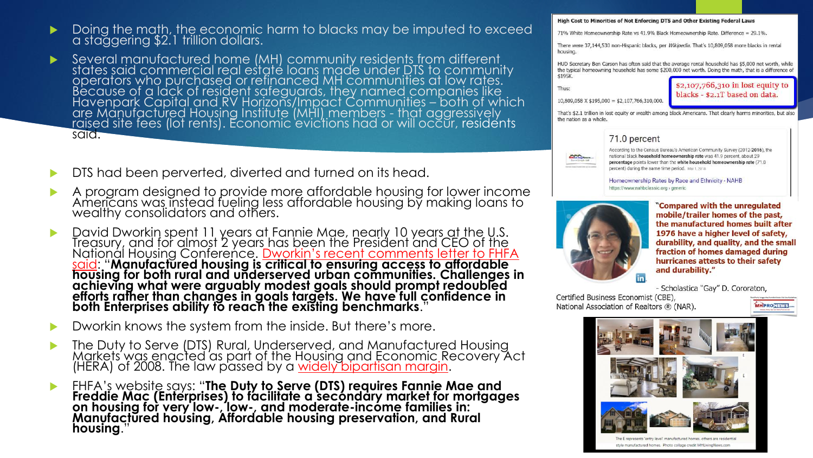- $\blacktriangleright$  Doing the math, the economic harm to blacks may be imputed to exceed a staggering \$2.1 trillion dollars.
- ▶ Several manufactured home (MH) community residents from different states said commercial real estate loans made under DTS to community operators who purchased or refinanced MH communities at low rates. Because of a lack of resident safeguards, they named companies like Havenpark Capital and RV Horizons/Impact Communities – both of which are Manufactured Housing Institute (MHI) members - that aggressively <u>ra</u>ised site fees (lot rents). Economic 'evic'tions had or will occur, residents said.
- DTS had been perverted, diverted and turned on its head.
- A program designed to provide more affordable housing for lower income Americans was instead fueling less affordable housing by making loans to wealthy consolidators and others.
- David Dworkin spent 11 years at Fannie Mae, nearly 10 years at the U.S. Treasury, and for almost 2 years has been the President and CEO of <u>the</u> Nationál Housing Conference. <u>Dworkin's recent comments letter to FHFA</u> said: "**[Manufactured housing is critical to ensuring access to affordable](https://www.manufacturedhomepronews.com/david-dworkin-national-housing-conference-compared-and-contrasted-with-lesli-gooch-manufactured-housing-institute-on-fannie-mae-freddie-mac-proposed-modifications-to-fhfa-on-duty-to-serve-finance/)  housing for both rural and underserved urban communities. Challenges in achieving what were arguably modest goals should prompt redoubled efforts rather than changes in goals targets. We have full confidence in both Enterprises ability to reach the existing benchmarks**."
- Dworkin knows the system from the inside. But there's more.
- **The Duty to Serve (DTS) Rural, Underserved, and Manufactured Housing** Markets was enacted as part of the Housing and Economic Recovery Act (HERA) of 2008. The law passed by a <u>[widely bipartisan margin](https://www.govtrack.us/congress/bills/110/hr3221)</u>.
- FHFA's website says: "**The Duty to Serve (DTS) requires Fannie Mae and Freddie Mac (Enterprises) to facilitate a secondary market for mortgages on housing for very low-, low-, and moderate-income families in: Manufactured housing, Affordable housing preservation, and Rural**  housing.

## High Cost to Minorities of Not Enforcing DTS and Other Existing Federal Laws

71% White Homeownership Rate vs 41.9% Black Homeownership Rate. Difference = 29.1%.

There were 37,144,530 non-Hispanic blacks, per Wikipedia. That's 10,809,058 more blacks in rental housing.

HUD Secretary Ben Carson has often said that the average rental household has \$5,000 net worth, while the typical homeowning household has some \$200,000 net worth. Doing the math, that is a difference of \$195K.

Thus:

\$2,107,766,310 in lost equity to blacks - \$2.1T based on data.

 $10,809,058$  X \$195,000 = \$2,107,766,310,000.

That's \$2.1 trillion in lost equity or wealth among black Americans. That clearly harms minorities, but also the nation as a whole.

## 71.0 percent



According to the Census Bureau's American Community Survey (2012-2016), the national black household homeownership rate was 41.9 percent, about 29 percentage points lower than the white household homeownership rate (71.0 percent) during the same time period. Mar 1, 2018

## Homeownership Rates by Race and Ethnicity - NAHB https://www.nahbclassic.org > generic



"Compared with the unregulated mobile/trailer homes of the past, the manufactured homes built after 1976 have a higher level of safety, durability, and quality, and the small fraction of homes damaged during hurricanes attests to their safety and durability."

- Scholastica "Gay" D. Cororaton,

Certified Business Economist (CBE), National Association of Realtors ® (NAR).



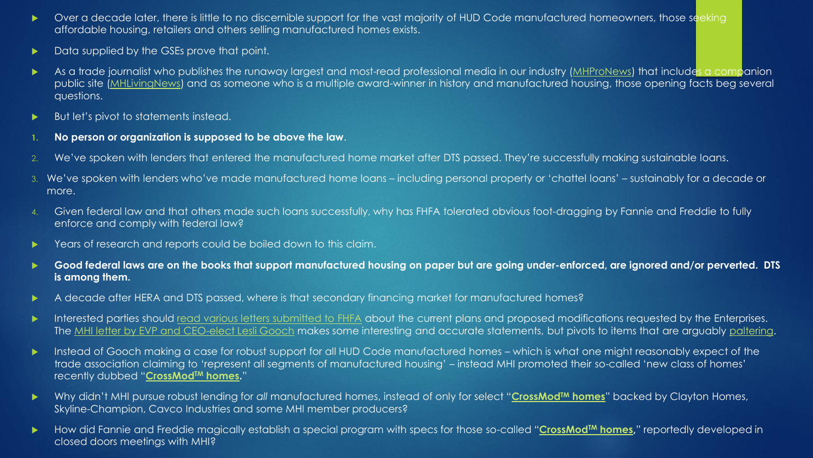- ▶ Over a decade later, there is little to no discernible support for the vast majority of HUD Code manufactured homeowners, those seeking affordable housing, retailers and others selling manufactured homes exists.
- Data supplied by the GSEs prove that point.
- As a trade journalist who publishes the runaway largest and most-read professional media in our industry [\(MHProNews\)](https://www.manufacturedhomepronews.com/) that includes a companion public site [\(MHLivingNews](https://www.manufacturedhomelivingnews.com/)) and as someone who is a multiple award-winner in history and manufactured housing, those opening facts beg several questions.
- But let's pivot to statements instead.
- **1. No person or organization is supposed to be above the law**.
- 2. We've spoken with lenders that entered the manufactured home market after DTS passed. They're successfully making sustainable loans.
- 3. We've spoken with lenders who've made manufactured home loans including personal property or 'chattel loans' sustainably for a decade or more.
- 4. Given federal law and that others made such loans successfully, why has FHFA tolerated obvious foot-dragging by Fannie and Freddie to fully enforce and comply with federal law?
- Years of research and reports could be boiled down to this claim.
- **Good federal laws are on the books that support manufactured housing on paper but are going under-enforced, are ignored and/or perverted. DTS is among them.**
- A decade after HERA and DTS passed, where is that secondary financing market for manufactured homes?
- Interested parties should [read various letters submitted to FHFA](https://www.fhfa.gov/PolicyProgramsResearch/Programs/Pages/DTSPlanModificationsRFIList.aspx) about the current plans and proposed modifications requested by the Enterprises. The [MHI letter by EVP and CEO-elect Lesli Gooch](https://www.manufacturedhomepronews.com/investor-alert-manufactured-housing-institute-paltering-concerns-fannie-maes-duty-to-serve-plus-manufactured-housing-investing-stocks-updates/) makes some interesting and accurate statements, but pivots to items that are arguably [paltering](https://www.manufacturedhomepronews.com/wp-content/uploads/2019/11/DecieveSomeoneUsingTruthfulStatementsPalteringQuoteDeceptionWIthTruthQuoteManufacturedHomeProNews.jpg).
- ▶ Instead of Gooch making a case for robust support for all HUD Code manufactured homes which is what one might reasonably expect of the trade association claiming to 'represent all segments of manufactured housing' – instead MHI promoted their so-called 'new class of homes' recently dubbed "**[CrossMod](https://www.manufacturedhomepronews.com/paltering-manufactured-homes-crossmodtm-homes-manufactured-housing-institute-clayton-homes-berkshire-hathaway-manufactured-home-lenders-dts-and-you/)TM homes.**"
- ▶ Why didn't MHI pursue robust lending for all manufactured homes, instead of only for select "[CrossMod](https://www.manufacturedhomepronews.com/paltering-manufactured-homes-crossmodtm-homes-manufactured-housing-institute-clayton-homes-berkshire-hathaway-manufactured-home-lenders-dts-and-you/)<sup>™</sup> homes" backed by Clayton Homes, Skyline-Champion, Cavco Industries and some MHI member producers?
- ▶ How did Fannie and Freddie magically establish a special program with specs for those so-called "[CrossMod](https://www.manufacturedhomepronews.com/paltering-manufactured-homes-crossmodtm-homes-manufactured-housing-institute-clayton-homes-berkshire-hathaway-manufactured-home-lenders-dts-and-you/)<sup>TM</sup> homes," reportedly developed in closed doors meetings with MHI?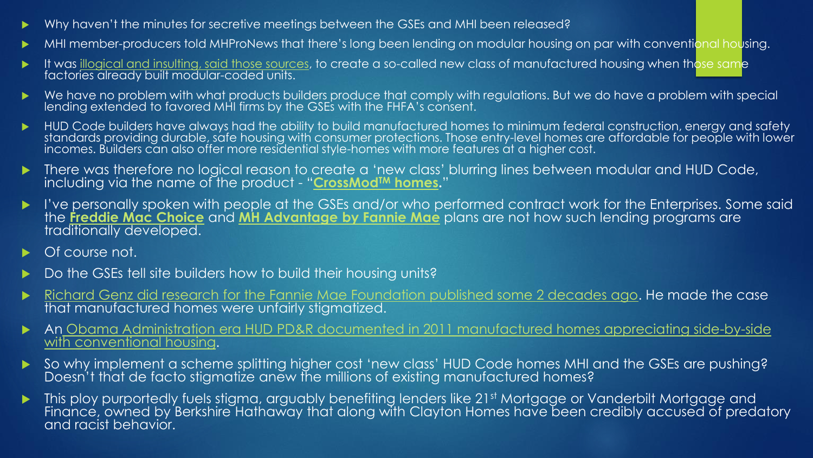- Why haven't the minutes for secretive meetings between the GSEs and MHI been released?
- MHI member-producers told MHProNews that there's long been lending on modular housing on par with conventional housing.
- $\blacktriangleright$  It was [illogical and insulting, said those sources,](https://www.manufacturedhomepronews.com/what-are-we-chopped-liver-mhi-member-december-2018-reactions/) to create a so-called new class of manufactured housing when those same factories already built modular-coded units.
- We have no problem with what products builders produce that comply with regulations. But we do have a problem with special lending extended to favored MHI firms by the GSEs with the FHFA's consent.
- HUD Code builders have always had the ability to build manufactured homes to minimum federal construction, energy and safety standards providing durable, safe housing with consumer protections. Those entry-level homes are affordable for people with lower incomes. Builders can also offer more residential style-homes with more features at a higher cost.
- There was therefore no logical reason to create a 'new class' blurring lines between modular and HUD Code, including via the name of the product - "**[CrossMod](https://www.manufacturedhomepronews.com/paltering-manufactured-homes-crossmodtm-homes-manufactured-housing-institute-clayton-homes-berkshire-hathaway-manufactured-home-lenders-dts-and-you/)TM homes.**"
- I've personally spoken with people at the GSEs and/or who performed contract work for the Enterprises. Some said the **[Freddie Mac Choice](http://www.freddiemac.com/singlefamily/community_lenders/news/20190509_choicehome_factory_built_housing.html)** and **[MH Advantage by Fannie Mae](https://www.fanniemae.com/singlefamily/manufactured-homes)** plans are not how such lending programs are traditionally developed.
- Of course not.
- Do the GSEs tell site builders how to build their housing units?
- [Richard Genz did research for the Fannie Mae Foundation published some 2 decades ago.](https://www.manufacturedhomepronews.com/affordable-manufactured-housings-puzzling-contemporary-condition-revealed-by-quotable-quotes-from-residents-professionals-expert-researchers-advocates-public-officials-graphics-and-repo) He made the case that manufactured homes were unfairly stigmatized.
- An [Obama Administration era HUD PD&R documented in 2011 manufactured homes appreciating side-by-side](https://www.manufacturedhomelivingnews.com/wp-content/uploads/2018/04/2011HUDPDRRegulatoryBarriersManufacturedHousingPlacementUrbanCommunitiesMHLivingNewsPDF.pdf)  with conventional housing.
- So why implement a scheme splitting higher cost 'new class' HUD Code homes MHI and the GSEs are pushing? Doesn't that de facto stigmatize anew the millions of existing manufactured homes?
- This ploy purportedly fuels stigma, arguably benefiting lenders like 21st Mortgage or Vanderbilt Mortgage and Finance, owned by Berkshire Hathaway that along with Clayton Homes have been credibly accused of predatory and racist behavior.